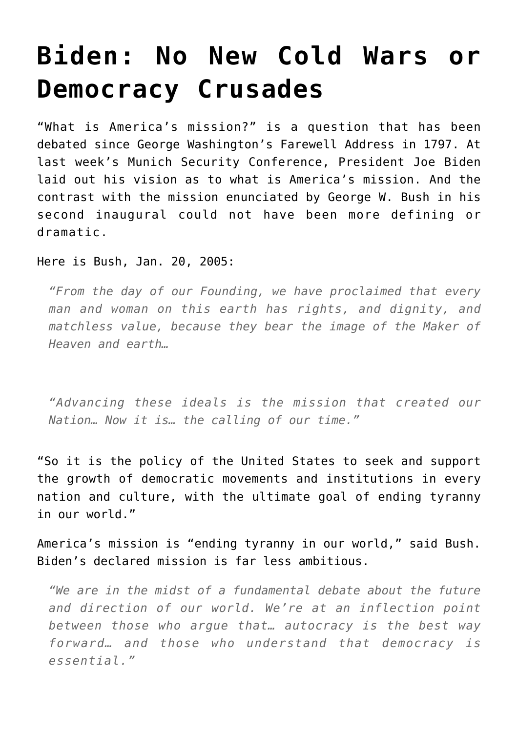## **[Biden: No New Cold Wars or](https://intellectualtakeout.org/2021/02/biden-no-new-cold-wars-or-democracy-crusades/) [Democracy Crusades](https://intellectualtakeout.org/2021/02/biden-no-new-cold-wars-or-democracy-crusades/)**

"What is America's mission?" is a question that has been debated since George Washington's Farewell Address in 1797. At last week's Munich Security Conference, President Joe Biden laid out his vision as to what is America's mission. And the contrast with the mission enunciated by George W. Bush in his second inaugural could not have been more defining or dramatic.

Here is Bush, Jan. 20, 2005:

*"From the day of our Founding, we have proclaimed that every man and woman on this earth has rights, and dignity, and matchless value, because they bear the image of the Maker of Heaven and earth…* 

*"Advancing these ideals is the mission that created our Nation… Now it is… the calling of our time."*

"So it is the policy of the United States to seek and support the growth of democratic movements and institutions in every nation and culture, with the ultimate goal of ending tyranny in our world."

America's mission is "ending tyranny in our world," said Bush. Biden's declared mission is far less ambitious.

*"We are in the midst of a fundamental debate about the future and direction of our world. We're at an inflection point between those who argue that… autocracy is the best way forward… and those who understand that democracy is essential."*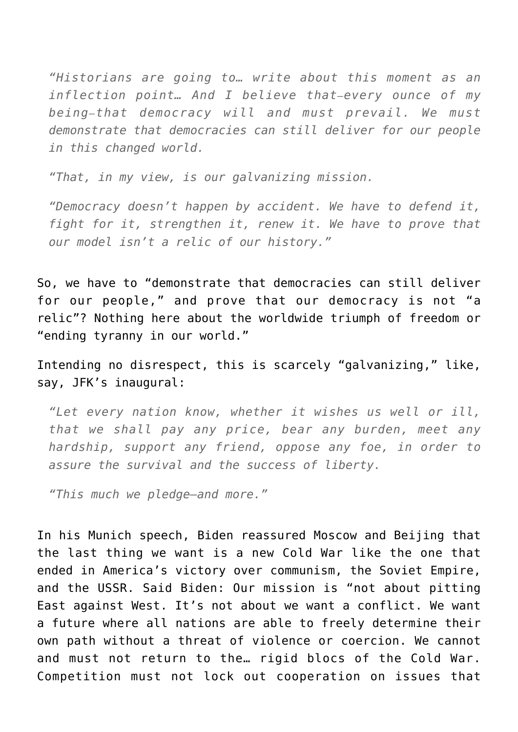*"Historians are going to… write about this moment as an inflection point… And I believe that—every ounce of my being—that democracy will and must prevail. We must demonstrate that democracies can still deliver for our people in this changed world.* 

*"That, in my view, is our galvanizing mission.* 

*"Democracy doesn't happen by accident. We have to defend it, fight for it, strengthen it, renew it. We have to prove that our model isn't a relic of our history."*

So, we have to "demonstrate that democracies can still deliver for our people," and prove that our democracy is not "a relic"? Nothing here about the worldwide triumph of freedom or "ending tyranny in our world."

Intending no disrespect, this is scarcely "galvanizing," like, say, JFK's inaugural:

*"Let every nation know, whether it wishes us well or ill, that we shall pay any price, bear any burden, meet any hardship, support any friend, oppose any foe, in order to assure the survival and the success of liberty.* 

*"This much we pledge—and more."*

In his Munich speech, Biden reassured Moscow and Beijing that the last thing we want is a new Cold War like the one that ended in America's victory over communism, the Soviet Empire, and the USSR. Said Biden: Our mission is "not about pitting East against West. It's not about we want a conflict. We want a future where all nations are able to freely determine their own path without a threat of violence or coercion. We cannot and must not return to the… rigid blocs of the Cold War. Competition must not lock out cooperation on issues that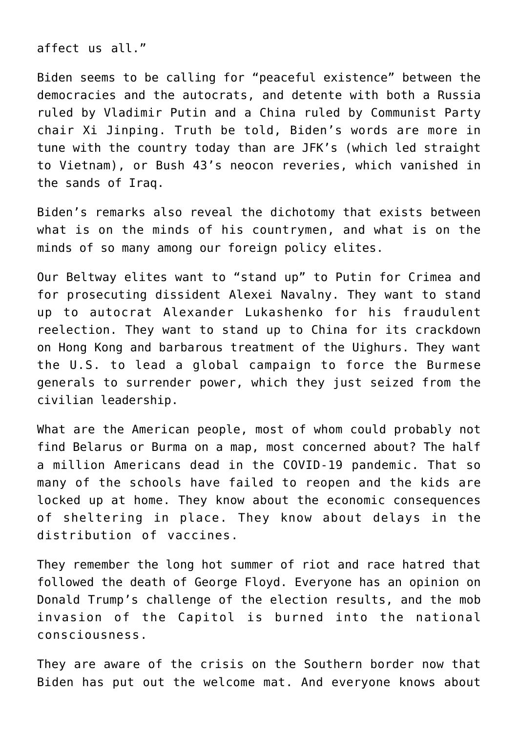affect us all."

Biden seems to be calling for "peaceful existence" between the democracies and the autocrats, and detente with both a Russia ruled by Vladimir Putin and a China ruled by Communist Party chair Xi Jinping. Truth be told, Biden's words are more in tune with the country today than are JFK's (which led straight to Vietnam), or Bush 43's neocon reveries, which vanished in the sands of Iraq.

Biden's remarks also reveal the dichotomy that exists between what is on the minds of his countrymen, and what is on the minds of so many among our foreign policy elites.

Our Beltway elites want to "stand up" to Putin for Crimea and for prosecuting dissident Alexei Navalny. They want to stand up to autocrat Alexander Lukashenko for his fraudulent reelection. They want to stand up to China for its crackdown on Hong Kong and barbarous treatment of the Uighurs. They want the U.S. to lead a global campaign to force the Burmese generals to surrender power, which they just seized from the civilian leadership.

What are the American people, most of whom could probably not find Belarus or Burma on a map, most concerned about? The half a million Americans dead in the COVID-19 pandemic. That so many of the schools have failed to reopen and the kids are locked up at home. They know about the economic consequences of sheltering in place. They know about delays in the distribution of vaccines.

They remember the long hot summer of riot and race hatred that followed the death of George Floyd. Everyone has an opinion on Donald Trump's challenge of the election results, and the mob invasion of the Capitol is burned into the national consciousness.

They are aware of the crisis on the Southern border now that Biden has put out the welcome mat. And everyone knows about